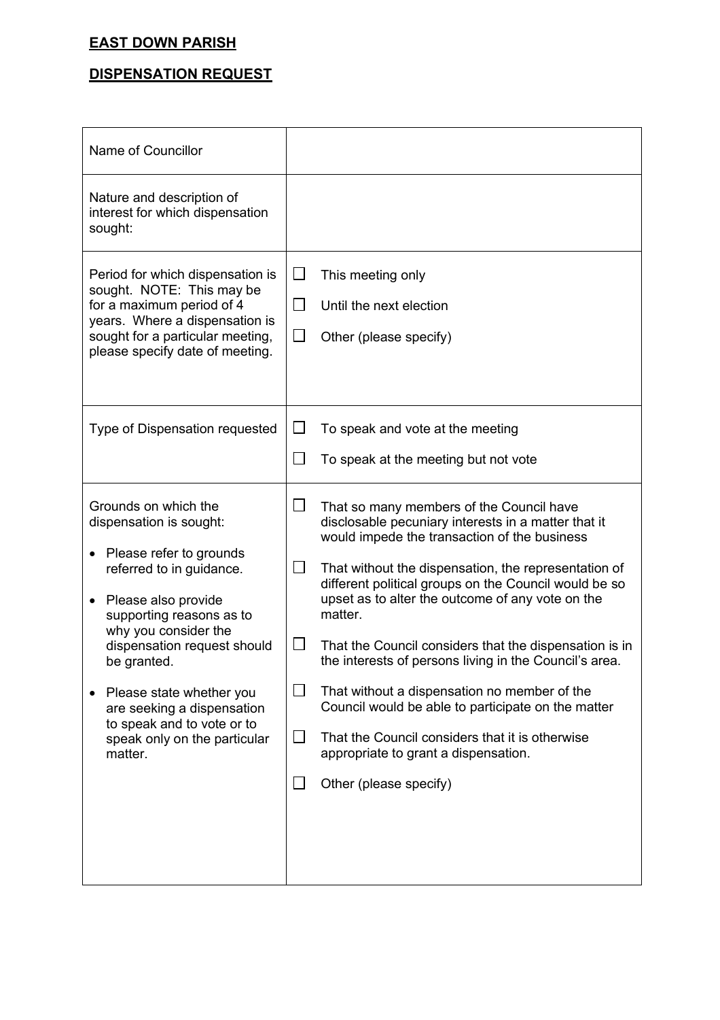## **EAST DOWN PARISH**

## **DISPENSATION REQUEST**

| Name of Councillor                                                                                                                                                                                                                                                                                                                                                 |                                                                                                                                                                                                                                                                                                                                                                                                                                                                                                                                                                                                                                                                                                                                                      |
|--------------------------------------------------------------------------------------------------------------------------------------------------------------------------------------------------------------------------------------------------------------------------------------------------------------------------------------------------------------------|------------------------------------------------------------------------------------------------------------------------------------------------------------------------------------------------------------------------------------------------------------------------------------------------------------------------------------------------------------------------------------------------------------------------------------------------------------------------------------------------------------------------------------------------------------------------------------------------------------------------------------------------------------------------------------------------------------------------------------------------------|
| Nature and description of<br>interest for which dispensation<br>sought:                                                                                                                                                                                                                                                                                            |                                                                                                                                                                                                                                                                                                                                                                                                                                                                                                                                                                                                                                                                                                                                                      |
| Period for which dispensation is<br>sought. NOTE: This may be<br>for a maximum period of 4<br>years. Where a dispensation is<br>sought for a particular meeting,<br>please specify date of meeting.                                                                                                                                                                | This meeting only<br>$\mathsf{L}$<br>$\sqcup$<br>Until the next election<br>$\Box$<br>Other (please specify)                                                                                                                                                                                                                                                                                                                                                                                                                                                                                                                                                                                                                                         |
| Type of Dispensation requested                                                                                                                                                                                                                                                                                                                                     | $\Box$<br>To speak and vote at the meeting<br>$\mathcal{L}_{\mathcal{A}}$<br>To speak at the meeting but not vote                                                                                                                                                                                                                                                                                                                                                                                                                                                                                                                                                                                                                                    |
| Grounds on which the<br>dispensation is sought:<br>Please refer to grounds<br>referred to in guidance.<br>Please also provide<br>supporting reasons as to<br>why you consider the<br>dispensation request should<br>be granted.<br>Please state whether you<br>are seeking a dispensation<br>to speak and to vote or to<br>speak only on the particular<br>matter. | $\mathcal{L}_{\mathcal{A}}$<br>That so many members of the Council have<br>disclosable pecuniary interests in a matter that it<br>would impede the transaction of the business<br>$\sqcup$<br>That without the dispensation, the representation of<br>different political groups on the Council would be so<br>upset as to alter the outcome of any vote on the<br>matter.<br>That the Council considers that the dispensation is in<br>$\Box$<br>the interests of persons living in the Council's area.<br>That without a dispensation no member of the<br>Council would be able to participate on the matter<br>That the Council considers that it is otherwise<br>$\mathcal{L}$<br>appropriate to grant a dispensation.<br>Other (please specify) |